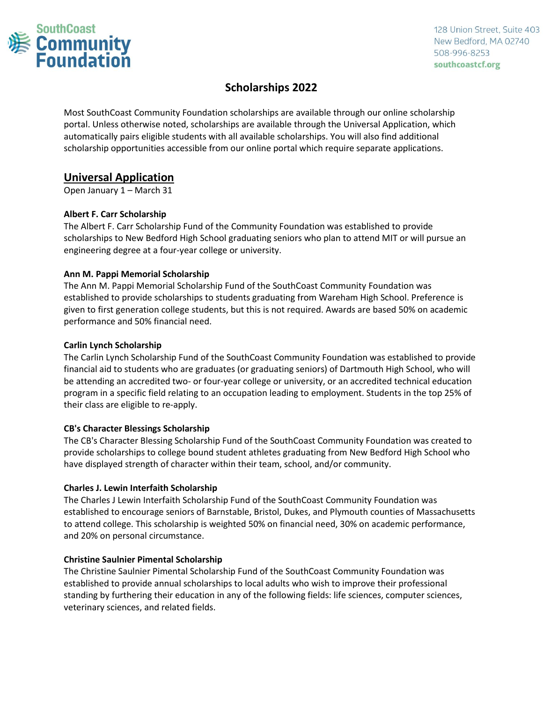

# **Scholarships 2022**

Most SouthCoast Community Foundation scholarships are available through our online scholarship portal. Unless otherwise noted, scholarships are available through the Universal Application, which automatically pairs eligible students with all available scholarships. You will also find additional scholarship opportunities accessible from our online portal which require separate applications.

# **Universal Application**

Open January 1 – March 31

## **Albert F. Carr Scholarship**

The Albert F. Carr Scholarship Fund of the Community Foundation was established to provide scholarships to New Bedford High School graduating seniors who plan to attend MIT or will pursue an engineering degree at a four-year college or university.

## **Ann M. Pappi Memorial Scholarship**

The Ann M. Pappi Memorial Scholarship Fund of the SouthCoast Community Foundation was established to provide scholarships to students graduating from Wareham High School. Preference is given to first generation college students, but this is not required. Awards are based 50% on academic performance and 50% financial need.

## **Carlin Lynch Scholarship**

The Carlin Lynch Scholarship Fund of the SouthCoast Community Foundation was established to provide financial aid to students who are graduates (or graduating seniors) of Dartmouth High School, who will be attending an accredited two- or four-year college or university, or an accredited technical education program in a specific field relating to an occupation leading to employment. Students in the top 25% of their class are eligible to re-apply.

## **CB's Character Blessings Scholarship**

The CB's Character Blessing Scholarship Fund of the SouthCoast Community Foundation was created to provide scholarships to college bound student athletes graduating from New Bedford High School who have displayed strength of character within their team, school, and/or community.

## **Charles J. Lewin Interfaith Scholarship**

The Charles J Lewin Interfaith Scholarship Fund of the SouthCoast Community Foundation was established to encourage seniors of Barnstable, Bristol, Dukes, and Plymouth counties of Massachusetts to attend college. This scholarship is weighted 50% on financial need, 30% on academic performance, and 20% on personal circumstance.

## **Christine Saulnier Pimental Scholarship**

The Christine Saulnier Pimental Scholarship Fund of the SouthCoast Community Foundation was established to provide annual scholarships to local adults who wish to improve their professional standing by furthering their education in any of the following fields: life sciences, computer sciences, veterinary sciences, and related fields.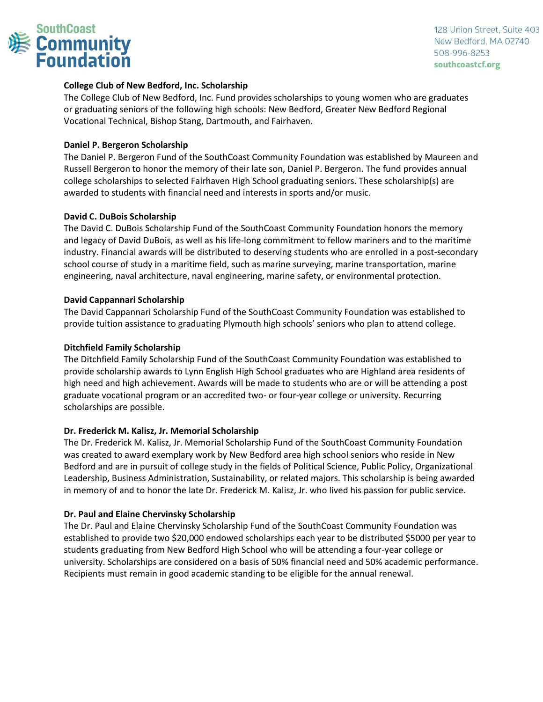

## **College Club of New Bedford, Inc. Scholarship**

The College Club of New Bedford, Inc. Fund provides scholarships to young women who are graduates or graduating seniors of the following high schools: New Bedford, Greater New Bedford Regional Vocational Technical, Bishop Stang, Dartmouth, and Fairhaven.

## **Daniel P. Bergeron Scholarship**

The Daniel P. Bergeron Fund of the SouthCoast Community Foundation was established by Maureen and Russell Bergeron to honor the memory of their late son, Daniel P. Bergeron. The fund provides annual college scholarships to selected Fairhaven High School graduating seniors. These scholarship(s) are awarded to students with financial need and interests in sports and/or music.

## **David C. DuBois Scholarship**

The David C. DuBois Scholarship Fund of the SouthCoast Community Foundation honors the memory and legacy of David DuBois, as well as his life-long commitment to fellow mariners and to the maritime industry. Financial awards will be distributed to deserving students who are enrolled in a post-secondary school course of study in a maritime field, such as marine surveying, marine transportation, marine engineering, naval architecture, naval engineering, marine safety, or environmental protection.

## **David Cappannari Scholarship**

The David Cappannari Scholarship Fund of the SouthCoast Community Foundation was established to provide tuition assistance to graduating Plymouth high schools' seniors who plan to attend college.

## **Ditchfield Family Scholarship**

The Ditchfield Family Scholarship Fund of the SouthCoast Community Foundation was established to provide scholarship awards to Lynn English High School graduates who are Highland area residents of high need and high achievement. Awards will be made to students who are or will be attending a post graduate vocational program or an accredited two- or four-year college or university. Recurring scholarships are possible.

## **Dr. Frederick M. Kalisz, Jr. Memorial Scholarship**

The Dr. Frederick M. Kalisz, Jr. Memorial Scholarship Fund of the SouthCoast Community Foundation was created to award exemplary work by New Bedford area high school seniors who reside in New Bedford and are in pursuit of college study in the fields of Political Science, Public Policy, Organizational Leadership, Business Administration, Sustainability, or related majors. This scholarship is being awarded in memory of and to honor the late Dr. Frederick M. Kalisz, Jr. who lived his passion for public service.

## **Dr. Paul and Elaine Chervinsky Scholarship**

The Dr. Paul and Elaine Chervinsky Scholarship Fund of the SouthCoast Community Foundation was established to provide two \$20,000 endowed scholarships each year to be distributed \$5000 per year to students graduating from New Bedford High School who will be attending a four-year college or university. Scholarships are considered on a basis of 50% financial need and 50% academic performance. Recipients must remain in good academic standing to be eligible for the annual renewal.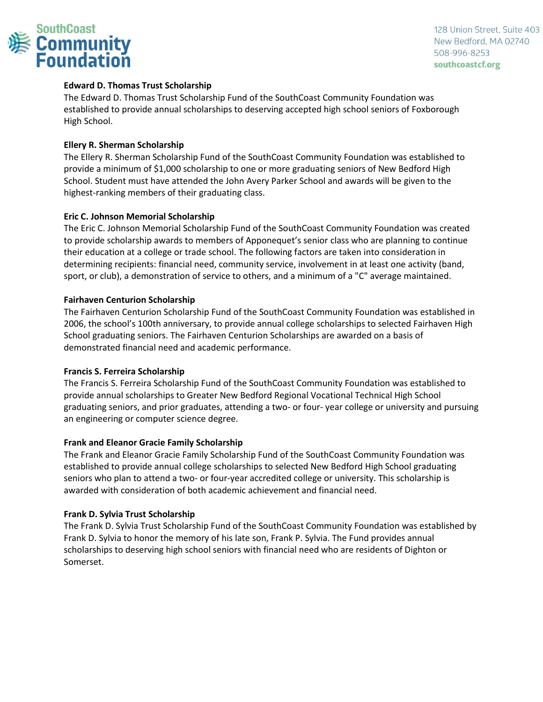

## **Edward D. Thomas Trust Scholarship**

The Edward D. Thomas Trust Scholarship Fund of the SouthCoast Community Foundation was established to provide annual scholarships to deserving accepted high school seniors of Foxborough High School.

#### **Ellery R. Sherman Scholarship**

The Ellery R. Sherman Scholarship Fund of the SouthCoast Community Foundation was established to provide a minimum of \$1,000 scholarship to one or more graduating seniors of New Bedford High School. Student must have attended the John Avery Parker School and awards will be given to the highest-ranking members of their graduating class.

#### **Eric C. Johnson Memorial Scholarship**

The Eric C. Johnson Memorial Scholarship Fund of the SouthCoast Community Foundation was created to provide scholarship awards to members of Apponequet's senior class who are planning to continue their education at a college or trade school. The following factors are taken into consideration in determining recipients: financial need, community service, involvement in at least one activity (band, sport, or club), a demonstration of service to others, and a minimum of a "C" average maintained.

#### **Fairhaven Centurion Scholarship**

The Fairhaven Centurion Scholarship Fund of the SouthCoast Community Foundation was established in 2006, the school's 100th anniversary, to provide annual college scholarships to selected Fairhaven High School graduating seniors. The Fairhaven Centurion Scholarships are awarded on a basis of demonstrated financial need and academic performance.

#### **Francis S. Ferreira Scholarship**

The Francis S. Ferreira Scholarship Fund of the SouthCoast Community Foundation was established to provide annual scholarships to Greater New Bedford Regional Vocational Technical High School graduating seniors, and prior graduates, attending a two- or four- year college or university and pursuing an engineering or computer science degree.

#### **Frank and Eleanor Gracie Family Scholarship**

The Frank and Eleanor Gracie Family Scholarship Fund of the SouthCoast Community Foundation was established to provide annual college scholarships to selected New Bedford High School graduating seniors who plan to attend a two- or four-year accredited college or university. This scholarship is awarded with consideration of both academic achievement and financial need.

#### **Frank D. Sylvia Trust Scholarship**

The Frank D. Sylvia Trust Scholarship Fund of the SouthCoast Community Foundation was established by Frank D. Sylvia to honor the memory of his late son, Frank P. Sylvia. The Fund provides annual scholarships to deserving high school seniors with financial need who are residents of Dighton or Somerset.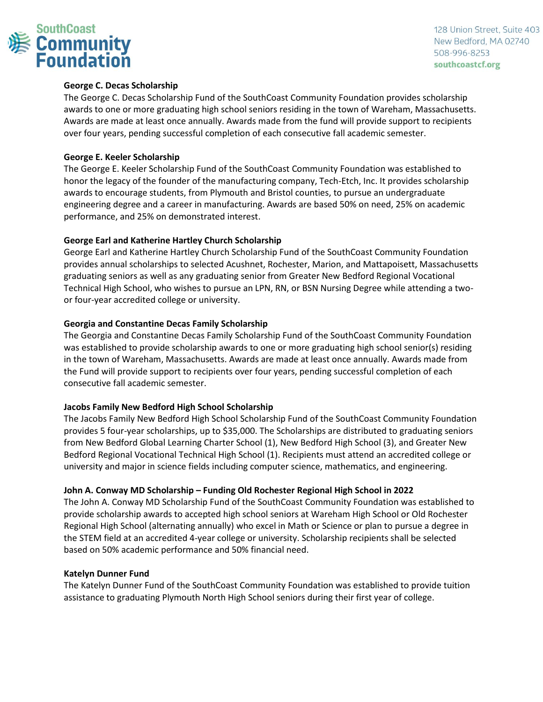

## **George C. Decas Scholarship**

The George C. Decas Scholarship Fund of the SouthCoast Community Foundation provides scholarship awards to one or more graduating high school seniors residing in the town of Wareham, Massachusetts. Awards are made at least once annually. Awards made from the fund will provide support to recipients over four years, pending successful completion of each consecutive fall academic semester.

#### **George E. Keeler Scholarship**

The George E. Keeler Scholarship Fund of the SouthCoast Community Foundation was established to honor the legacy of the founder of the manufacturing company, Tech-Etch, Inc. It provides scholarship awards to encourage students, from Plymouth and Bristol counties, to pursue an undergraduate engineering degree and a career in manufacturing. Awards are based 50% on need, 25% on academic performance, and 25% on demonstrated interest.

#### **George Earl and Katherine Hartley Church Scholarship**

George Earl and Katherine Hartley Church Scholarship Fund of the SouthCoast Community Foundation provides annual scholarships to selected Acushnet, Rochester, Marion, and Mattapoisett, Massachusetts graduating seniors as well as any graduating senior from Greater New Bedford Regional Vocational Technical High School, who wishes to pursue an LPN, RN, or BSN Nursing Degree while attending a twoor four-year accredited college or university.

#### **Georgia and Constantine Decas Family Scholarship**

The Georgia and Constantine Decas Family Scholarship Fund of the SouthCoast Community Foundation was established to provide scholarship awards to one or more graduating high school senior(s) residing in the town of Wareham, Massachusetts. Awards are made at least once annually. Awards made from the Fund will provide support to recipients over four years, pending successful completion of each consecutive fall academic semester.

#### **Jacobs Family New Bedford High School Scholarship**

The Jacobs Family New Bedford High School Scholarship Fund of the SouthCoast Community Foundation provides 5 four-year scholarships, up to \$35,000. The Scholarships are distributed to graduating seniors from New Bedford Global Learning Charter School (1), New Bedford High School (3), and Greater New Bedford Regional Vocational Technical High School (1). Recipients must attend an accredited college or university and major in science fields including computer science, mathematics, and engineering.

## **John A. Conway MD Scholarship – Funding Old Rochester Regional High School in 2022**

The John A. Conway MD Scholarship Fund of the SouthCoast Community Foundation was established to provide scholarship awards to accepted high school seniors at Wareham High School or Old Rochester Regional High School (alternating annually) who excel in Math or Science or plan to pursue a degree in the STEM field at an accredited 4-year college or university. Scholarship recipients shall be selected based on 50% academic performance and 50% financial need.

#### **Katelyn Dunner Fund**

The Katelyn Dunner Fund of the SouthCoast Community Foundation was established to provide tuition assistance to graduating Plymouth North High School seniors during their first year of college.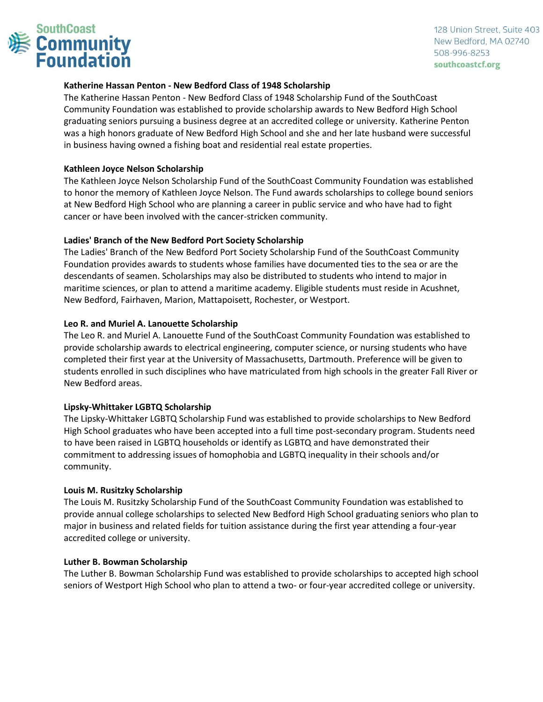

## **Katherine Hassan Penton - New Bedford Class of 1948 Scholarship**

The Katherine Hassan Penton - New Bedford Class of 1948 Scholarship Fund of the SouthCoast Community Foundation was established to provide scholarship awards to New Bedford High School graduating seniors pursuing a business degree at an accredited college or university. Katherine Penton was a high honors graduate of New Bedford High School and she and her late husband were successful in business having owned a fishing boat and residential real estate properties.

## **Kathleen Joyce Nelson Scholarship**

The Kathleen Joyce Nelson Scholarship Fund of the SouthCoast Community Foundation was established to honor the memory of Kathleen Joyce Nelson. The Fund awards scholarships to college bound seniors at New Bedford High School who are planning a career in public service and who have had to fight cancer or have been involved with the cancer-stricken community.

## **Ladies' Branch of the New Bedford Port Society Scholarship**

The Ladies' Branch of the New Bedford Port Society Scholarship Fund of the SouthCoast Community Foundation provides awards to students whose families have documented ties to the sea or are the descendants of seamen. Scholarships may also be distributed to students who intend to major in maritime sciences, or plan to attend a maritime academy. Eligible students must reside in Acushnet, New Bedford, Fairhaven, Marion, Mattapoisett, Rochester, or Westport.

## **Leo R. and Muriel A. Lanouette Scholarship**

The Leo R. and Muriel A. Lanouette Fund of the SouthCoast Community Foundation was established to provide scholarship awards to electrical engineering, computer science, or nursing students who have completed their first year at the University of Massachusetts, Dartmouth. Preference will be given to students enrolled in such disciplines who have matriculated from high schools in the greater Fall River or New Bedford areas.

## **Lipsky-Whittaker LGBTQ Scholarship**

The Lipsky-Whittaker LGBTQ Scholarship Fund was established to provide scholarships to New Bedford High School graduates who have been accepted into a full time post-secondary program. Students need to have been raised in LGBTQ households or identify as LGBTQ and have demonstrated their commitment to addressing issues of homophobia and LGBTQ inequality in their schools and/or community.

## **Louis M. Rusitzky Scholarship**

The Louis M. Rusitzky Scholarship Fund of the SouthCoast Community Foundation was established to provide annual college scholarships to selected New Bedford High School graduating seniors who plan to major in business and related fields for tuition assistance during the first year attending a four-year accredited college or university.

## **Luther B. Bowman Scholarship**

The Luther B. Bowman Scholarship Fund was established to provide scholarships to accepted high school seniors of Westport High School who plan to attend a two- or four-year accredited college or university.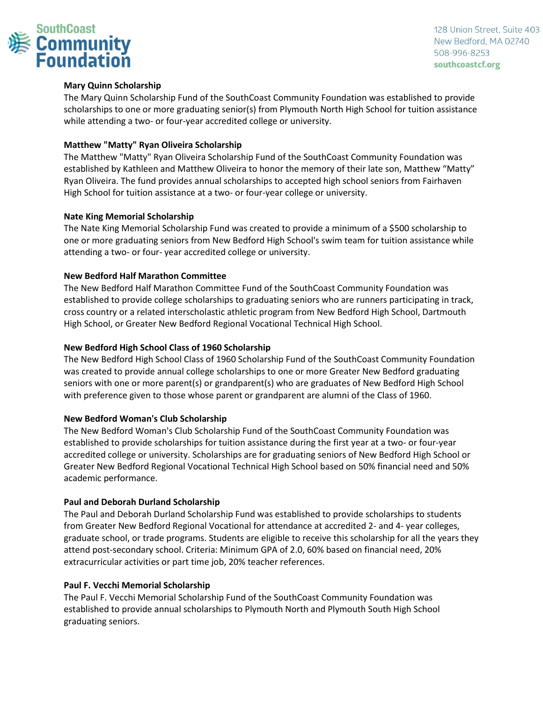

## **Mary Quinn Scholarship**

The Mary Quinn Scholarship Fund of the SouthCoast Community Foundation was established to provide scholarships to one or more graduating senior(s) from Plymouth North High School for tuition assistance while attending a two- or four-year accredited college or university.

## **Matthew "Matty" Ryan Oliveira Scholarship**

The Matthew "Matty" Ryan Oliveira Scholarship Fund of the SouthCoast Community Foundation was established by Kathleen and Matthew Oliveira to honor the memory of their late son, Matthew "Matty" Ryan Oliveira. The fund provides annual scholarships to accepted high school seniors from Fairhaven High School for tuition assistance at a two- or four-year college or university.

#### **Nate King Memorial Scholarship**

The Nate King Memorial Scholarship Fund was created to provide a minimum of a \$500 scholarship to one or more graduating seniors from New Bedford High School's swim team for tuition assistance while attending a two- or four- year accredited college or university.

#### **New Bedford Half Marathon Committee**

The New Bedford Half Marathon Committee Fund of the SouthCoast Community Foundation was established to provide college scholarships to graduating seniors who are runners participating in track, cross country or a related interscholastic athletic program from New Bedford High School, Dartmouth High School, or Greater New Bedford Regional Vocational Technical High School.

#### **New Bedford High School Class of 1960 Scholarship**

The New Bedford High School Class of 1960 Scholarship Fund of the SouthCoast Community Foundation was created to provide annual college scholarships to one or more Greater New Bedford graduating seniors with one or more parent(s) or grandparent(s) who are graduates of New Bedford High School with preference given to those whose parent or grandparent are alumni of the Class of 1960.

#### **New Bedford Woman's Club Scholarship**

The New Bedford Woman's Club Scholarship Fund of the SouthCoast Community Foundation was established to provide scholarships for tuition assistance during the first year at a two- or four-year accredited college or university. Scholarships are for graduating seniors of New Bedford High School or Greater New Bedford Regional Vocational Technical High School based on 50% financial need and 50% academic performance.

#### **Paul and Deborah Durland Scholarship**

The Paul and Deborah Durland Scholarship Fund was established to provide scholarships to students from Greater New Bedford Regional Vocational for attendance at accredited 2- and 4- year colleges, graduate school, or trade programs. Students are eligible to receive this scholarship for all the years they attend post-secondary school. Criteria: Minimum GPA of 2.0, 60% based on financial need, 20% extracurricular activities or part time job, 20% teacher references.

#### **Paul F. Vecchi Memorial Scholarship**

The Paul F. Vecchi Memorial Scholarship Fund of the SouthCoast Community Foundation was established to provide annual scholarships to Plymouth North and Plymouth South High School graduating seniors.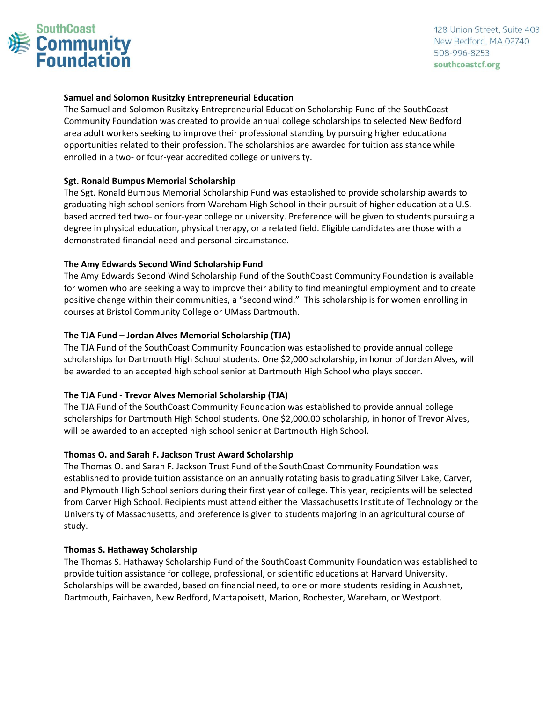

## **Samuel and Solomon Rusitzky Entrepreneurial Education**

The Samuel and Solomon Rusitzky Entrepreneurial Education Scholarship Fund of the SouthCoast Community Foundation was created to provide annual college scholarships to selected New Bedford area adult workers seeking to improve their professional standing by pursuing higher educational opportunities related to their profession. The scholarships are awarded for tuition assistance while enrolled in a two- or four-year accredited college or university.

## **Sgt. Ronald Bumpus Memorial Scholarship**

The Sgt. Ronald Bumpus Memorial Scholarship Fund was established to provide scholarship awards to graduating high school seniors from Wareham High School in their pursuit of higher education at a U.S. based accredited two- or four-year college or university. Preference will be given to students pursuing a degree in physical education, physical therapy, or a related field. Eligible candidates are those with a demonstrated financial need and personal circumstance.

## **The Amy Edwards Second Wind Scholarship Fund**

The Amy Edwards Second Wind Scholarship Fund of the SouthCoast Community Foundation is available for women who are seeking a way to improve their ability to find meaningful employment and to create positive change within their communities, a "second wind." This scholarship is for women enrolling in courses at Bristol Community College or UMass Dartmouth.

## **The TJA Fund – Jordan Alves Memorial Scholarship (TJA)**

The TJA Fund of the SouthCoast Community Foundation was established to provide annual college scholarships for Dartmouth High School students. One \$2,000 scholarship, in honor of Jordan Alves, will be awarded to an accepted high school senior at Dartmouth High School who plays soccer.

## **The TJA Fund - Trevor Alves Memorial Scholarship (TJA)**

The TJA Fund of the SouthCoast Community Foundation was established to provide annual college scholarships for Dartmouth High School students. One \$2,000.00 scholarship, in honor of Trevor Alves, will be awarded to an accepted high school senior at Dartmouth High School.

## **Thomas O. and Sarah F. Jackson Trust Award Scholarship**

The Thomas O. and Sarah F. Jackson Trust Fund of the SouthCoast Community Foundation was established to provide tuition assistance on an annually rotating basis to graduating Silver Lake, Carver, and Plymouth High School seniors during their first year of college. This year, recipients will be selected from Carver High School. Recipients must attend either the Massachusetts Institute of Technology or the University of Massachusetts, and preference is given to students majoring in an agricultural course of study.

## **Thomas S. Hathaway Scholarship**

The Thomas S. Hathaway Scholarship Fund of the SouthCoast Community Foundation was established to provide tuition assistance for college, professional, or scientific educations at Harvard University. Scholarships will be awarded, based on financial need, to one or more students residing in Acushnet, Dartmouth, Fairhaven, New Bedford, Mattapoisett, Marion, Rochester, Wareham, or Westport.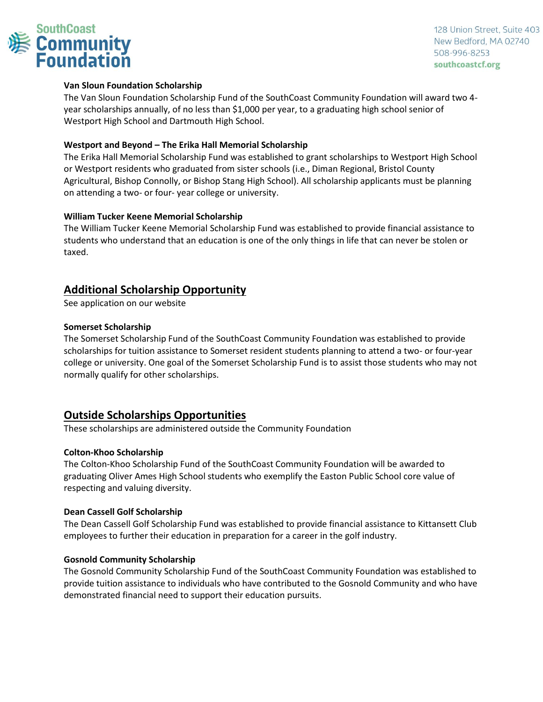

## **Van Sloun Foundation Scholarship**

The Van Sloun Foundation Scholarship Fund of the SouthCoast Community Foundation will award two 4 year scholarships annually, of no less than \$1,000 per year, to a graduating high school senior of Westport High School and Dartmouth High School.

## **Westport and Beyond – The Erika Hall Memorial Scholarship**

The Erika Hall Memorial Scholarship Fund was established to grant scholarships to Westport High School or Westport residents who graduated from sister schools (i.e., Diman Regional, Bristol County Agricultural, Bishop Connolly, or Bishop Stang High School). All scholarship applicants must be planning on attending a two- or four- year college or university.

## **William Tucker Keene Memorial Scholarship**

The William Tucker Keene Memorial Scholarship Fund was established to provide financial assistance to students who understand that an education is one of the only things in life that can never be stolen or taxed.

# **Additional Scholarship Opportunity**

See application on our website

#### **Somerset Scholarship**

The Somerset Scholarship Fund of the SouthCoast Community Foundation was established to provide scholarships for tuition assistance to Somerset resident students planning to attend a two- or four-year college or university. One goal of the Somerset Scholarship Fund is to assist those students who may not normally qualify for other scholarships.

# **Outside Scholarships Opportunities**

These scholarships are administered outside the Community Foundation

## **Colton-Khoo Scholarship**

The Colton-Khoo Scholarship Fund of the SouthCoast Community Foundation will be awarded to graduating Oliver Ames High School students who exemplify the Easton Public School core value of respecting and valuing diversity.

#### **Dean Cassell Golf Scholarship**

The Dean Cassell Golf Scholarship Fund was established to provide financial assistance to Kittansett Club employees to further their education in preparation for a career in the golf industry.

#### **Gosnold Community Scholarship**

The Gosnold Community Scholarship Fund of the SouthCoast Community Foundation was established to provide tuition assistance to individuals who have contributed to the Gosnold Community and who have demonstrated financial need to support their education pursuits.